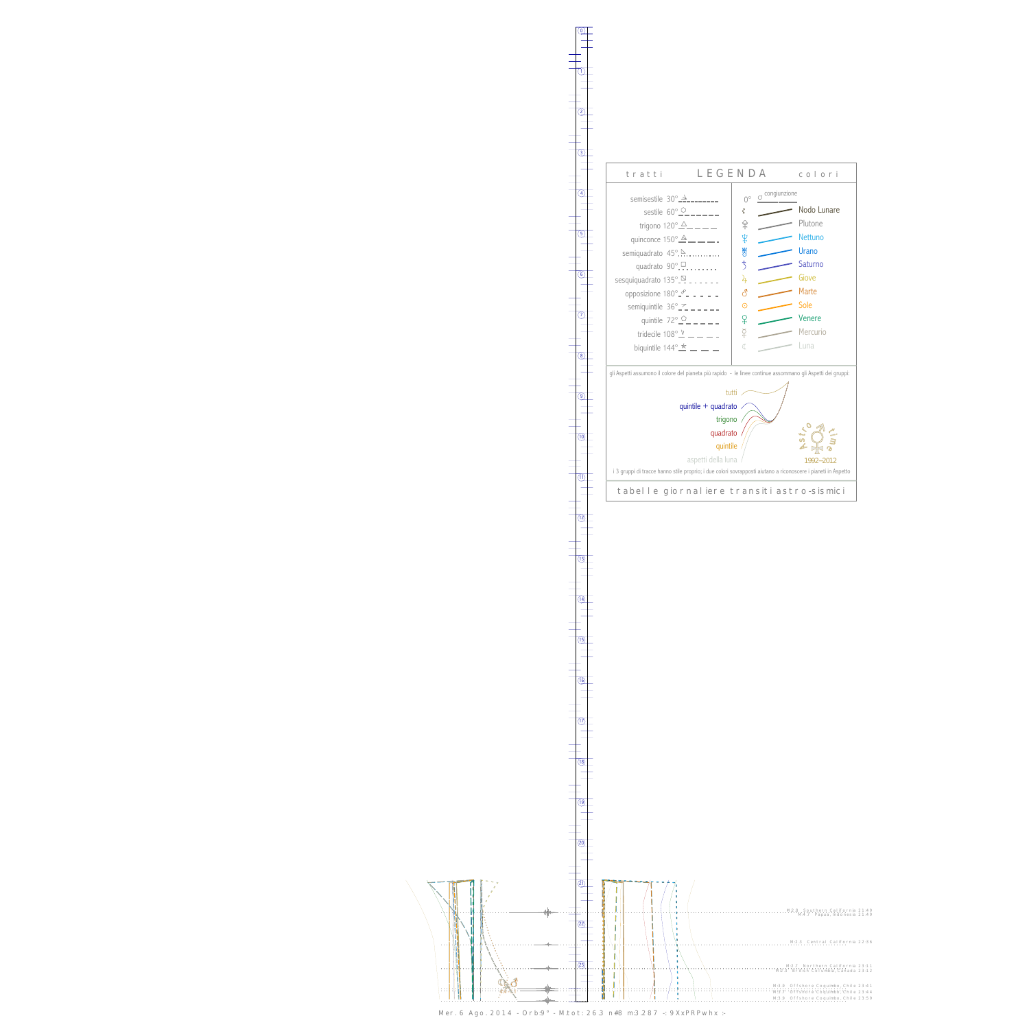0

1



13



Mer. 6 Ago. 2014 - Orb:9° - M.tot: 26.3 n#8 m:3.287 -: 9XxPRPwhx :-